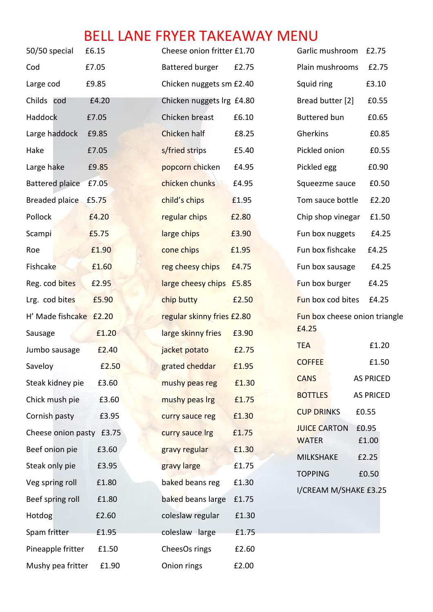## BELL LANE FRYER TAKEAWAY MENU

| 50/50 special            | £6.15 | Cheese onion fritter £1.70 |       | Garlic mushroom<br>£2.75           |
|--------------------------|-------|----------------------------|-------|------------------------------------|
| Cod                      | £7.05 | <b>Battered burger</b>     | £2.75 | Plain mushrooms<br>£2.75           |
| Large cod                | £9.85 | Chicken nuggets sm £2.40   |       | Squid ring<br>£3.10                |
| Childs cod               | £4.20 | Chicken nuggets Irg £4.80  |       | Bread butter [2]<br>£0.55          |
| Haddock                  | £7.05 | Chicken breast             | £6.10 | <b>Buttered bun</b><br>£0.65       |
| Large haddock            | £9.85 | Chicken half               | £8.25 | Gherkins<br>£0.85                  |
| Hake                     | £7.05 | s/fried strips             | £5.40 | Pickled onion<br>£0.55             |
| Large hake               | £9.85 | popcorn chicken            | £4.95 | Pickled egg<br>£0.90               |
| Battered plaice          | £7.05 | chicken chunks             | £4.95 | £0.50<br>Squeezme sauce            |
| Breaded plaice £5.75     |       | child's chips              | £1.95 | Tom sauce bottle<br>£2.20          |
| Pollock                  | £4.20 | regular chips              | £2.80 | Chip shop vinegar<br>£1.50         |
| Scampi                   | £5.75 | large chips                | £3.90 | £4.25<br>Fun box nuggets           |
| Roe                      | £1.90 | cone chips                 | £1.95 | Fun box fishcake<br>£4.25          |
| Fishcake                 | £1.60 | reg cheesy chips           | £4.75 | Fun box sausage<br>£4.25           |
| Reg. cod bites           | £2.95 | large cheesy chips £5.85   |       | Fun box burger<br>£4.25            |
| Lrg. cod bites           | £5.90 | chip butty                 | £2.50 | Fun box cod bites<br>£4.25         |
| H' Made fishcake £2.20   |       | regular skinny fries £2.80 |       | Fun box cheese onion triangle      |
| Sausage                  | £1.20 | large skinny fries         | £3.90 | £4.25                              |
| Jumbo sausage            | £2.40 | jacket potato              | £2.75 | £1.20<br><b>TEA</b>                |
| Saveloy                  | £2.50 | grated cheddar             | £1.95 | £1.50<br><b>COFFEE</b>             |
| Steak kidney pie         | £3.60 | mushy peas reg             | £1.30 | <b>CANS</b><br><b>AS PRICED</b>    |
| Chick mush pie           | £3.60 | mushy peas Irg             | £1.75 | <b>BOTTLES</b><br><b>AS PRICED</b> |
| Cornish pasty            | £3.95 | curry sauce reg            | £1.30 | <b>CUP DRINKS</b><br>£0.55         |
| Cheese onion pasty £3.75 |       | curry sauce Irg            | £1.75 | £0.95<br><b>JUICE CARTON</b>       |
| Beef onion pie           | £3.60 | gravy regular              | £1.30 | £1.00<br><b>WATER</b>              |
| Steak only pie           | £3.95 | gravy large                | £1.75 | <b>MILKSHAKE</b><br>£2.25          |
| Veg spring roll          | £1.80 | baked beans reg            | £1.30 | £0.50<br><b>TOPPING</b>            |
| Beef spring roll         | £1.80 | baked beans large          | £1.75 | I/CREAM M/SHAKE £3.25              |
| Hotdog                   | £2.60 | coleslaw regular           | £1.30 |                                    |
| Spam fritter             | £1.95 | coleslaw large             | £1.75 |                                    |
| Pineapple fritter        | £1.50 | CheesOs rings              | £2.60 |                                    |
| Mushy pea fritter        | £1.90 | Onion rings                | £2.00 |                                    |